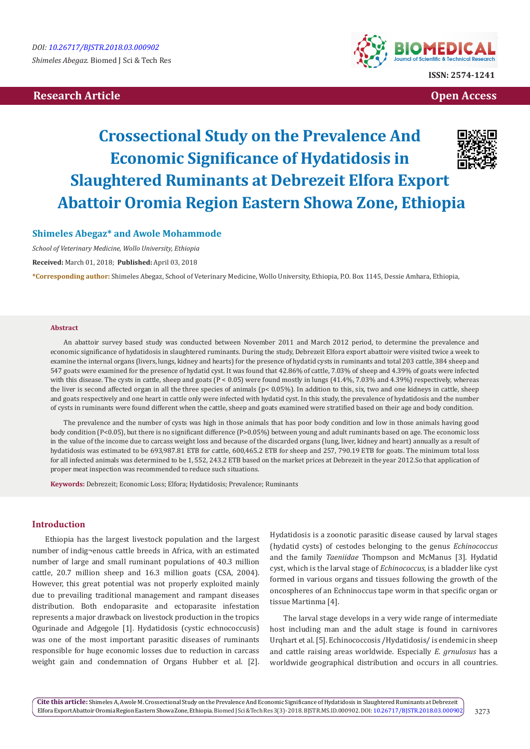# **Research Article Contract Contract Contract Contract Contract Contract Contract Contract Contract Contract Contract Contract Contract Contract Contract Contract Contract Contract Contract Contract Contract Contract Con**



# **Crossectional Study on the Prevalence And Economic Significance of Hydatidosis in Slaughtered Ruminants at Debrezeit Elfora Export Abattoir Oromia Region Eastern Showa Zone, Ethiopia**

# **Shimeles Abegaz\* and Awole Mohammode**

*School of Veterinary Medicine, Wollo University, Ethiopia*

**Received:** March 01, 2018; **Published:** April 03, 2018

**\*Corresponding author:** Shimeles Abegaz, School of Veterinary Medicine, Wollo University, Ethiopia, P.O. Box 1145, Dessie Amhara, Ethiopia,

#### **Abstract**

An abattoir survey based study was conducted between November 2011 and March 2012 period, to determine the prevalence and economic significance of hydatidosis in slaughtered ruminants. During the study, Debrezeit Elfora export abattoir were visited twice a week to examine the internal organs (livers, lungs, kidney and hearts) for the presence of hydatid cysts in ruminants and total 203 cattle, 384 sheep and 547 goats were examined for the presence of hydatid cyst. It was found that 42.86% of cattle, 7.03% of sheep and 4.39% of goats were infected with this disease. The cysts in cattle, sheep and goats ( $P < 0.05$ ) were found mostly in lungs (41.4%, 7.03% and 4.39%) respectively, whereas the liver is second affected organ in all the three species of animals  $(p < 0.05\%)$ . In addition to this, six, two and one kidneys in cattle, sheep and goats respectively and one heart in cattle only were infected with hydatid cyst. In this study, the prevalence of hydatidosis and the number of cysts in ruminants were found different when the cattle, sheep and goats examined were stratified based on their age and body condition.

The prevalence and the number of cysts was high in those animals that has poor body condition and low in those animals having good body condition (P<0.05), but there is no significant difference (P>0.05%) between young and adult ruminants based on age. The economic loss in the value of the income due to carcass weight loss and because of the discarded organs (lung, liver, kidney and heart) annually as a result of hydatidosis was estimated to be 693,987.81 ETB for cattle, 600,465.2 ETB for sheep and 257, 790.19 ETB for goats. The minimum total loss for all infected animals was determined to be 1, 552, 243.2 ETB based on the market prices at Debrezeit in the year 2012.So that application of proper meat inspection was recommended to reduce such situations.

**Keywords:** Debrezeit; Economic Loss; Elfora; Hydatidosis; Prevalence; Ruminants

# **Introduction**

Ethiopia has the largest livestock population and the largest number of indig¬enous cattle breeds in Africa, with an estimated number of large and small ruminant populations of 40.3 million cattle, 20.7 million sheep and 16.3 million goats (CSA, 2004). However, this great potential was not properly exploited mainly due to prevailing traditional management and rampant diseases distribution. Both endoparasite and ectoparasite infestation represents a major drawback on livestock production in the tropics Ogurinade and Adgegole [1]. Hydatidosis (cystic echnococcusis) was one of the most important parasitic diseases of ruminants responsible for huge economic losses due to reduction in carcass weight gain and condemnation of Organs Hubber et al. [2]. Hydatidosis is a zoonotic parasitic disease caused by larval stages (hydatid cysts) of cestodes belonging to the genus *Echinococcus* and the family *Taeniidae* Thompson and McManus [3]. Hydatid cyst, which is the larval stage of *Echinococcus*, is a bladder like cyst formed in various organs and tissues following the growth of the oncospheres of an Echninoccus tape worm in that specific organ or tissue Martinma [4].

The larval stage develops in a very wide range of intermediate host including man and the adult stage is found in carnivores Urqhart et al. [5]. Echinococcosis /Hydatidosis/ is endemic in sheep and cattle raising areas worldwide. Especially *E. grnulosus* has a worldwide geographical distribution and occurs in all countries.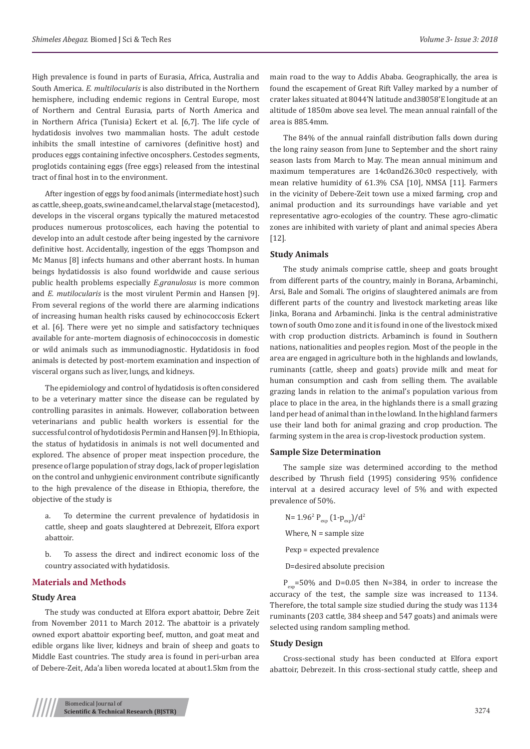High prevalence is found in parts of Eurasia, Africa, Australia and South America. *E. multilocularis* is also distributed in the Northern hemisphere, including endemic regions in Central Europe, most of Northern and Central Eurasia, parts of North America and in Northern Africa (Tunisia) Eckert et al. [6,7]. The life cycle of hydatidosis involves two mammalian hosts. The adult cestode inhibits the small intestine of carnivores (definitive host) and produces eggs containing infective oncosphers. Cestodes segments, proglotids containing eggs (free eggs) released from the intestinal tract of final host in to the environment.

After ingestion of eggs by food animals (intermediate host) such as cattle, sheep, goats, swine and camel, the larval stage (metacestod), develops in the visceral organs typically the matured metacestod produces numerous protoscolices, each having the potential to develop into an adult cestode after being ingested by the carnivore definitive host. Accidentally, ingestion of the eggs Thompson and Mc Manus [8] infects humans and other aberrant hosts. In human beings hydatidossis is also found worldwide and cause serious public health problems especially *E.granulosus* is more common and *E. mutilocularis* is the most virulent Permin and Hansen [9]. From several regions of the world there are alarming indications of increasing human health risks caused by echinococcosis Eckert et al. [6]. There were yet no simple and satisfactory techniques available for ante-mortem diagnosis of echinococcosis in domestic or wild animals such as immunodiagnostic. Hydatidosis in food animals is detected by post-mortem examination and inspection of visceral organs such as liver, lungs, and kidneys.

The epidemiology and control of hydatidosis is often considered to be a veterinary matter since the disease can be regulated by controlling parasites in animals. However, collaboration between veterinarians and public health workers is essential for the successful control of hydotidosis Permin and Hansen [9]. In Ethiopia, the status of hydatidosis in animals is not well documented and explored. The absence of proper meat inspection procedure, the presence of large population of stray dogs, lack of proper legislation on the control and unhygienic environment contribute significantly to the high prevalence of the disease in Ethiopia, therefore, the objective of the study is

a. To determine the current prevalence of hydatidosis in cattle, sheep and goats slaughtered at Debrezeit, Elfora export abattoir.

b. To assess the direct and indirect economic loss of the country associated with hydatidosis.

# **Materials and Methods**

### **Study Area**

The study was conducted at Elfora export abattoir, Debre Zeit from November 2011 to March 2012. The abattoir is a privately owned export abattoir exporting beef, mutton, and goat meat and edible organs like liver, kidneys and brain of sheep and goats to Middle East countries. The study area is found in peri-urban area of Debere-Zeit, Ada'a liben woreda located at about1.5km from the main road to the way to Addis Ababa. Geographically, the area is found the escapement of Great Rift Valley marked by a number of crater lakes situated at 8044'N latitude and38058'E longitude at an altitude of 1850m above sea level. The mean annual rainfall of the area is 885.4mm.

The 84% of the annual rainfall distribution falls down during the long rainy season from June to September and the short rainy season lasts from March to May. The mean annual minimum and maximum temperatures are 14c0and26.30c0 respectively, with mean relative humidity of 61.3% CSA [10], NMSA [11]. Farmers in the vicinity of Debere-Zeit town use a mixed farming, crop and animal production and its surroundings have variable and yet representative agro-ecologies of the country. These agro-climatic zones are inhibited with variety of plant and animal species Abera [12].

#### **Study Animals**

The study animals comprise cattle, sheep and goats brought from different parts of the country, mainly in Borana, Arbaminchi, Arsi, Bale and Somali. The origins of slaughtered animals are from different parts of the country and livestock marketing areas like Jinka, Borana and Arbaminchi. Jinka is the central administrative town of south Omo zone and it is found in one of the livestock mixed with crop production districts. Arbaminch is found in Southern nations, nationalities and peoples region. Most of the people in the area are engaged in agriculture both in the highlands and lowlands, ruminants (cattle, sheep and goats) provide milk and meat for human consumption and cash from selling them. The available grazing lands in relation to the animal's population various from place to place in the area, in the highlands there is a small grazing land per head of animal than in the lowland. In the highland farmers use their land both for animal grazing and crop production. The farming system in the area is crop-livestock production system.

# **Sample Size Determination**

The sample size was determined according to the method described by Thrush field (1995) considering 95% confidence interval at a desired accuracy level of 5% and with expected prevalence of 50%.

N=  $1.96^2$  P<sub>exp</sub>  $(1-p_{exp})/d^2$ Where,  $N =$  sample size Pexp = expected prevalence

D=desired absolute precision

 $P_{\text{exp}}$ =50% and D=0.05 then N=384, in order to increase the accuracy of the test, the sample size was increased to 1134. Therefore, the total sample size studied during the study was 1134 ruminants (203 cattle, 384 sheep and 547 goats) and animals were selected using random sampling method.

#### **Study Design**

Cross-sectional study has been conducted at Elfora export abattoir, Debrezeit. In this cross-sectional study cattle, sheep and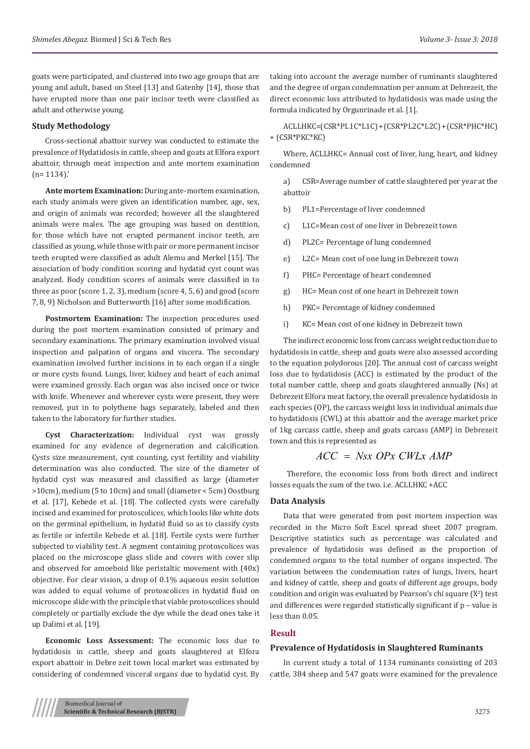goats were participated, and clustered into two age groups that are young and adult, based on Steel [13] and Gatenby [14], those that have erupted more than one pair incisor teeth were classified as adult and otherwise young.

#### **Study Methodology**

Cross-sectional abattoir survey was conducted to estimate the prevalence of Hydatidosis in cattle, sheep and goats at Elfora export abattoir, through meat inspection and ante mortem examination  $(n= 1134)'$ .

**Ante mortem Examination:** During ante-mortem examination, each study animals were given an identification number, age, sex, and origin of animals was recorded; however all the slaughtered animals were males. The age grouping was based on dentition, for those which have not erupted permanent incisor teeth, are classified as young, while those with pair or more permanent incisor teeth erupted were classified as adult Alemu and Merkel [15]. The association of body condition scoring and hydatid cyst count was analyzed. Body condition scores of animals were classified in to three as poor (score 1, 2, 3), medium (score 4, 5, 6) and good (score 7, 8, 9) Nicholson and Butterworth [16] after some modification.

**Postmortem Examination:** The inspection procedures used during the post mortem examination consisted of primary and secondary examinations. The primary examination involved visual inspection and palpation of organs and viscera. The secondary examination involved further incisions in to each organ if a single or more cysts found. Lungs, liver, kidney and heart of each animal were examined grossly. Each organ was also incised once or twice with knife. Whenever and wherever cysts were present, they were removed, put in to polythene bags separately, labeled and then taken to the laboratory for further studies.

**Cyst Characterization:** Individual cyst was grossly examined for any evidence of degeneration and calcification. Cysts size measurement, cyst counting, cyst fertility and viability determination was also conducted. The size of the diameter of hydatid cyst was measured and classified as large (diameter >10cm), medium (5 to 10cm) and small (diameter < 5cm) Oostburg et al. [17], Kebede et al. [18]. The collected cysts were carefully incised and examined for protoscolices, which looks like white dots on the germinal epithelium, in hydatid fluid so as to classify cysts as fertile or infertile Kebede et al. [18]. Fertile cysts were further subjected to viability test. A segment containing protoscolices was placed on the microscope glass slide and covers with cover slip and observed for amoeboid like peristaltic movement with (40x) objective. For clear vision, a drop of 0.1% aqueous eosin solution was added to equal volume of protoscolices in hydatid fluid on microscope slide with the principle that viable protoscolices should completely or partially exclude the dye while the dead ones take it up Dalimi et al. [19].

**Economic Loss Assessment:** The economic loss due to hydatidosis in cattle, sheep and goats slaughtered at Elfora export abattoir in Debre zeit town local market was estimated by considering of condemned visceral organs due to hydatid cyst. By taking into account the average number of ruminants slaughtered and the degree of organ condemnation per annum at Debrezeit, the direct economic loss attributed to hydatidosis was made using the formula indicated by Orgunrinade et al. [1].

ACLLHKC=(CSR\*PL1C\*L1C) + (CSR\*PL2C\*L2C) + (CSR\*PHC\*HC) + (CSR\*PKC\*KC)

Where, ACLLHKC= Annual cost of liver, lung, heart, and kidney condemned

a) CSR=Average number of cattle slaughtered per year at the abattoir

- b) PL1=Percentage of liver condemned
- c) L1C=Mean cost of one liver in Debrezeit town
- d) PL2C= Percentage of lung condemned
- e) L2C= Mean cost of one lung in Debrezeit town
- f) PHC= Percentage of heart condemned
- g) HC= Mean cost of one heart in Debrezeit town
- h) PKC= Percentage of kidney condemned
- i) KC= Mean cost of one kidney in Debrezeit town

The indirect economic loss from carcass weight reduction due to hydatidosis in cattle, sheep and goats were also assessed according to the equation polydorous [20]. The annual cost of carcass weight loss due to hydatidosis (ACC) is estimated by the product of the total number cattle, sheep and goats slaughtered annually (Ns) at Debrezeit Elfora meat factory, the overall prevalence hydatidosis in each species (OP), the carcass weight loss in individual animals due to hydatidosis (CWL) at this abattoir and the average market price of 1kg carcass cattle, sheep and goats carcass (AMP) in Debrezeit town and this is represented as

$$
ACC = Nsx \; OPx \; CWLx \; AMP
$$

 Therefore, the economic loss from both direct and indirect losses equals the sum of the two. i.e. ACLLHKC +ACC

#### **Data Analysis**

Data that were generated from post mortem inspection was recorded in the Micro Soft Excel spread sheet 2007 program. Descriptive statistics such as percentage was calculated and prevalence of hydatidosis was defined as the proportion of condemned organs to the total number of organs inspected. The variation between the condemnation rates of lungs, livers, heart and kidney of cattle, sheep and goats of different age groups, body condition and origin was evaluated by Pearson's chi square  $(X^2)$  test and differences were regarded statistically significant if p – value is less than 0.05.

#### **Result**

#### **Prevalence of Hydatidosis in Slaughtered Ruminants**

In current study a total of 1134 ruminants consisting of 203 cattle, 384 sheep and 547 goats were examined for the prevalence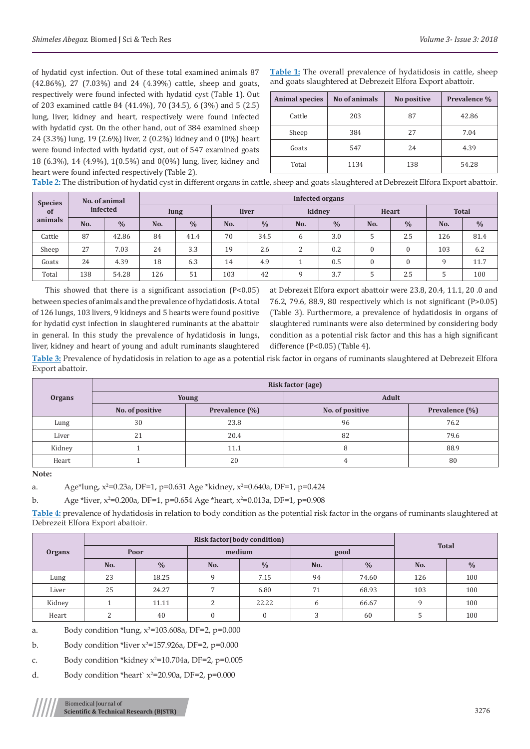of hydatid cyst infection. Out of these total examined animals 87 (42.86%), 27 (7.03%) and 24 (4.39%) cattle, sheep and goats, respectively were found infected with hydatid cyst (Table 1). Out of 203 examined cattle 84 (41.4%), 70 (34.5), 6 (3%) and 5 (2.5) lung, liver, kidney and heart, respectively were found infected with hydatid cyst. On the other hand, out of 384 examined sheep 24 (3.3%) lung, 19 (2.6%) liver, 2 (0.2%) kidney and 0 (0%) heart were found infected with hydatid cyst, out of 547 examined goats 18 (6.3%), 14 (4.9%), 1(0.5%) and 0(0%) lung, liver, kidney and heart were found infected respectively (Table 2).

**Table 1:** The overall prevalence of hydatidosis in cattle, sheep and goats slaughtered at Debrezeit Elfora Export abattoir.

| <b>Animal species</b> | No of animals | No positive | Prevalence % |  |  |
|-----------------------|---------------|-------------|--------------|--|--|
| Cattle                | 203           | 87          | 42.86        |  |  |
| Sheep                 | 384           | 27          | 7.04         |  |  |
| Goats                 | 547           | 24          | 4.39         |  |  |
| Total                 | 1134          | 138         | 54.28        |  |  |

**Table 2:** The distribution of hydatid cyst in different organs in cattle, sheep and goats slaughtered at Debrezeit Elfora Export abattoir.

| <b>Species</b> |          | No. of animal | Infected organs |               |       |               |              |               |              |               |              |               |  |  |
|----------------|----------|---------------|-----------------|---------------|-------|---------------|--------------|---------------|--------------|---------------|--------------|---------------|--|--|
| of             | infected |               | lung            |               | liver |               | kidney       |               | Heart        |               | <b>Total</b> |               |  |  |
| animals        | No.      | $\frac{0}{0}$ | No.             | $\frac{0}{0}$ | No.   | $\frac{0}{0}$ | No.          | $\frac{0}{0}$ | No.          | $\frac{0}{0}$ | No.          | $\frac{0}{0}$ |  |  |
| Cattle         | 87       | 42.86         | 84              | 41.4          | 70    | 34.5          | 6            | 3.0           |              | 2.5           | 126          | 81.4          |  |  |
| Sheep          | 27       | 7.03          | 24              | 3.3           | 19    | 2.6           | 2            | 0.2           | $\mathbf{0}$ | $\mathbf{0}$  | 103          | 6.2           |  |  |
| Goats          | 24       | 4.39          | 18              | 6.3           | 14    | 4.9           |              | 0.5           | $\theta$     | $\theta$      | 9            | 11.7          |  |  |
| Total          | 138      | 54.28         | 126             | 51            | 103   | 42            | $\mathbf{Q}$ | 3.7           |              | 2.5           | b.           | 100           |  |  |

This showed that there is a significant association  $(P<0.05)$ between species of animals and the prevalence of hydatidosis. A total of 126 lungs, 103 livers, 9 kidneys and 5 hearts were found positive for hydatid cyst infection in slaughtered ruminants at the abattoir in general. In this study the prevalence of hydatidosis in lungs, liver, kidney and heart of young and adult ruminants slaughtered

at Debrezeit Elfora export abattoir were 23.8, 20.4, 11.1, 20 .0 and 76.2, 79.6, 88.9, 80 respectively which is not significant (P>0.05) (Table 3). Furthermore, a prevalence of hydatidosis in organs of slaughtered ruminants were also determined by considering body condition as a potential risk factor and this has a high significant difference (P<0.05) (Table 4).

**Table 3:** Prevalence of hydatidosis in relation to age as a potential risk factor in organs of ruminants slaughtered at Debrezeit Elfora Export abattoir.

|               | <b>Risk factor (age)</b> |                |                 |                |  |  |  |  |  |  |
|---------------|--------------------------|----------------|-----------------|----------------|--|--|--|--|--|--|
| <b>Organs</b> |                          | Young          | <b>Adult</b>    |                |  |  |  |  |  |  |
|               | No. of positive          | Prevalence (%) | No. of positive | Prevalence (%) |  |  |  |  |  |  |
| Lung          | 30                       | 23.8           | 96              | 76.2           |  |  |  |  |  |  |
| Liver         | 21                       | 20.4           | 82              | 79.6           |  |  |  |  |  |  |
| Kidney        |                          | 11.1           | Χ               | 88.9           |  |  |  |  |  |  |
| Heart         |                          | 20             |                 | 80             |  |  |  |  |  |  |

**Note:** 

a. Age\*lung, x<sup>2</sup>=0.23a, DF=1, p=0.631 Age \*kidney, x<sup>2</sup>=0.640a, DF=1, p=0.424

b. Age \*liver,  $x^2=0.200$ a, DF=1, p=0.654 Age \*heart,  $x^2=0.013$ a, DF=1, p=0.908

**Table 4:** prevalence of hydatidosis in relation to body condition as the potential risk factor in the organs of ruminants slaughtered at Debrezeit Elfora Export abattoir.

|               |                   | <b>Total</b>  |          |               |               |               |     |               |  |
|---------------|-------------------|---------------|----------|---------------|---------------|---------------|-----|---------------|--|
| <b>Organs</b> | Poor              |               | medium   |               | good          |               |     |               |  |
|               | No.               | $\frac{0}{0}$ | No.      | $\frac{0}{0}$ | No.           | $\frac{0}{0}$ | No. | $\frac{0}{0}$ |  |
| Lung          | 23                | 18.25         | a        | 7.15          | 94            | 74.60         | 126 | 100           |  |
| Liver         | 25                | 24.27         |          | 6.80          | 71            | 68.93         | 103 | 100           |  |
| Kidney        |                   | 11.11         | n        | 22.22         | <sub>b</sub>  | 66.67         | q   | 100           |  |
| Heart         | $\mathbf{\Omega}$ | 40            | $\Omega$ |               | $\mathcal{D}$ | 60            |     | 100           |  |

a. Body condition \*lung,  $x^2$ =103.608a, DF=2, p=0.000

b. Body condition \*liver  $x^2$ =157.926a, DF=2, p=0.000

c. Body condition \*kidney  $x^2$ =10.704a, DF=2, p=0.005

d. Body condition \*heart`  $x^2$ =20.90a, DF=2, p=0.000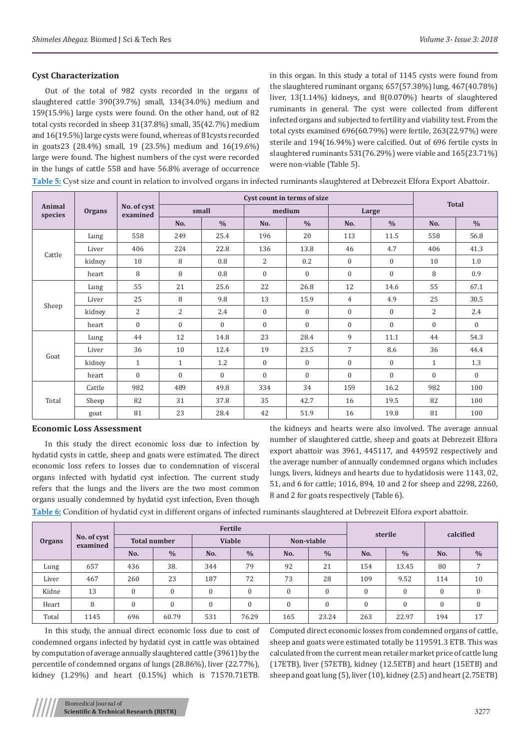# **Cyst Characterization**

Out of the total of 982 cysts recorded in the organs of slaughtered cattle 390(39.7%) small, 134(34.0%) medium and 159(15.9%) large cysts were found. On the other hand, out of 82 total cysts recorded in sheep 31(37.8%) small, 35(42.7%) medium and 16(19.5%) large cysts were found, whereas of 81cysts recorded in goats23 (28.4%) small, 19 (23.5%) medium and 16(19.6%) large were found. The highest numbers of the cyst were recorded in the lungs of cattle 558 and have 56.8% average of occurrence in this organ. In this study a total of 1145 cysts were found from the slaughtered ruminant organs; 657(57.38%) lung, 467(40.78%) liver, 13(1.14%) kidneys, and 8(0.070%) hearts of slaughtered ruminants in general. The cyst were collected from different infected organs and subjected to fertility and viability test. From the total cysts examined 696(60.79%) were fertile, 263(22.97%) were sterile and 194(16.94%) were calcified. Out of 696 fertile cysts in slaughtered ruminants 531(76.29%) were viable and 165(23.71%) were non-viable (Table 5).

**Table 5:** Cyst size and count in relation to involved organs in infected ruminants slaughtered at Debrezeit Elfora Export Abattoir.

|                   |               |                         |              | Cyst count in terms of size | <b>Total</b>   |                  |                |               |                |               |
|-------------------|---------------|-------------------------|--------------|-----------------------------|----------------|------------------|----------------|---------------|----------------|---------------|
| Animal<br>species | <b>Organs</b> | No. of cyst<br>examined |              | small                       | medium         |                  | Large          |               |                |               |
|                   |               |                         | No.          | $\frac{0}{0}$               | No.            | $\frac{0}{0}$    | No.            | $\frac{0}{0}$ | No.            | $\frac{0}{0}$ |
|                   | Lung          | 558                     | 249          | 25.4                        | 196            | 20               | 113            | 11.5          | 558            | 56.8          |
| Cattle            | Liver         | 406                     | 224          | 22.8                        | 136            | 13.8             | 46             | 4.7           | 406            | 41.3          |
|                   | kidney        | 10                      | 8            | 0.8                         | 2              | 0.2              | $\mathbf{0}$   | $\mathbf{0}$  | 10             | 1.0           |
|                   | heart         | 8                       | 8            | 0.8                         | $\overline{0}$ | 0                | $\mathbf{0}$   | $\mathbf{0}$  | 8              | 0.9           |
|                   | Lung          | 55                      | 21           | 25.6                        | 22             | 26.8             | 12             | 14.6          | 55             | 67.1          |
|                   | Liver         | 25                      | 8            | 9.8                         | 13             | 15.9             | $\overline{4}$ | 4.9           | 25             | 30.5          |
| Sheep             | kidney        | $\overline{2}$          | 2            | 2.4                         | $\mathbf{0}$   | $\boldsymbol{0}$ | $\mathbf{0}$   | $\mathbf{0}$  | $\overline{2}$ | 2.4           |
|                   | heart         | $\overline{0}$          | $\mathbf{0}$ | $\mathbf{0}$                | $\overline{0}$ | $\overline{0}$   | $\mathbf{0}$   | $\mathbf{0}$  | $\mathbf{0}$   | $\mathbf{0}$  |
|                   | Lung          | 44                      | 12           | 14.8                        | 23             | 28.4             | 9              | 11.1          | 44             | 54.3          |
|                   | Liver         | 36                      | 10           | 12.4                        | 19             | 23.5             | $\overline{7}$ | 8.6           | 36             | 44.4          |
| Goat              | kidney        | $\mathbf{1}$            | $\mathbf{1}$ | 1.2                         | $\mathbf{0}$   | $\mathbf{0}$     | $\mathbf{0}$   | $\mathbf{0}$  | $\mathbf{1}$   | 1.3           |
|                   | heart         | $\overline{0}$          | $\Omega$     | $\mathbf{0}$                | $\mathbf{0}$   | $\mathbf{0}$     | $\mathbf{0}$   | $\mathbf{0}$  | $\mathbf{0}$   | $\Omega$      |
|                   | Cattle        | 982                     | 489          | 49.8                        | 334            | 34               | 159            | 16.2          | 982            | 100           |
| Total             | Sheep         | 82                      | 31           | 37.8                        | 35             | 42.7             | 16             | 19.5          | 82             | 100           |
|                   | goat          | 81                      | 23           | 28.4                        | 42             | 51.9             | 16             | 19.8          | 81             | 100           |

#### **Economic Loss Assessment**

In this study the direct economic loss due to infection by hydatid cysts in cattle, sheep and goats were estimated. The direct economic loss refers to losses due to condemnation of visceral organs infected with hydatid cyst infection. The current study refers that the lungs and the livers are the two most common organs usually condemned by hydatid cyst infection, Even though

the kidneys and hearts were also involved. The average annual number of slaughtered cattle, sheep and goats at Debrezeit Elfora export abattoir was 3961, 445117, and 449592 respectively and the average number of annually condemned organs which includes lungs, livers, kidneys and hearts due to hydatidosis were 1143, 02, 51, and 6 for cattle; 1016, 894, 10 and 2 for sheep and 2298, 2260, 8 and 2 for goats respectively (Table 6).

**Table 6:** Condition of hydatid cyst in different organs of infected ruminants slaughtered at Debrezeit Elfora export abattoir.

|               |                         |                     |                  | <b>Fertile</b> | sterile        |              | calcified     |              |               |              |                |
|---------------|-------------------------|---------------------|------------------|----------------|----------------|--------------|---------------|--------------|---------------|--------------|----------------|
| <b>Organs</b> | No. of cyst<br>examined | <b>Total number</b> |                  | <b>Viable</b>  |                |              |               |              | Non-viable    |              |                |
|               |                         | No.                 | $\frac{0}{0}$    | No.            | $\frac{0}{0}$  | No.          | $\frac{0}{0}$ | No.          | $\frac{0}{0}$ | No.          | $\frac{0}{0}$  |
| Lung          | 657                     | 436                 | 38.              | 344            | 79             | 92           | 21            | 154          | 13.45         | 80           | $\overline{ }$ |
| Liver         | 467                     | 260                 | 23               | 187            | 72             | 73           | 28            | 109          | 9.52          | 114          | 10             |
| Kidne         | 13                      | $\mathbf{0}$        | $\boldsymbol{0}$ | $\Omega$       | $\overline{0}$ | $\mathbf{0}$ | $\mathbf{0}$  | $\mathbf{0}$ | $\mathbf{0}$  | $\mathbf{0}$ | $\mathbf{0}$   |
| Heart         | 8                       | $\boldsymbol{0}$    | $\mathbf{0}$     | $\Omega$       | $\Omega$       | $\mathbf{0}$ | $\mathbf{0}$  | $\mathbf{0}$ | $\mathbf{0}$  | $\mathbf{0}$ | $\mathbf{0}$   |
| Total         | 1145                    | 696                 | 60.79            | 531            | 76.29          | 165          | 23.24         | 263          | 22.97         | 194          | 17             |

In this study, the annual direct economic loss due to cost of condemned organs infected by hydatid cyst in cattle was obtained by computation of average annually slaughtered cattle (3961) by the percentile of condemned organs of lungs (28.86%), liver (22.77%), kidney (1.29%) and heart (0.15%) which is 71570.71ETB.

Computed direct economic losses from condemned organs of cattle, sheep and goats were estimated totally be 119591.3 ETB. This was calculated from the current mean retailer market price of cattle lung (17ETB), liver (57ETB), kidney (12.5ETB) and heart (15ETB) and sheep and goat lung (5), liver (10), kidney (2.5) and heart (2.75ETB)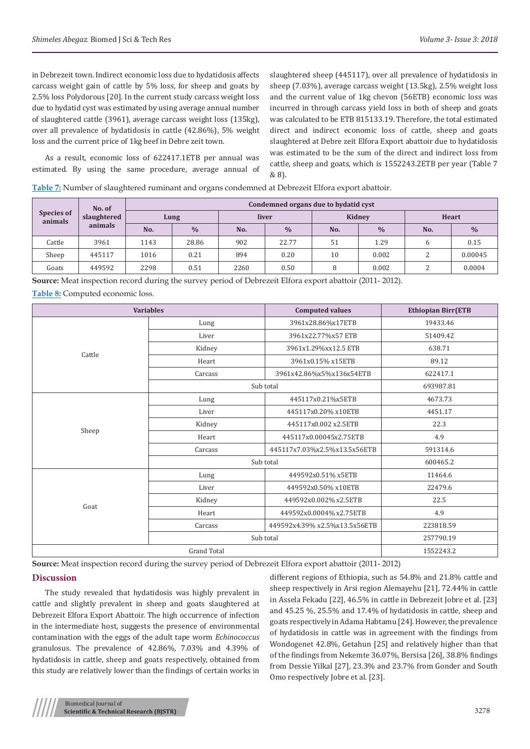in Debrezeit town. Indirect economic loss due to hydatidosis affects carcass weight gain of cattle by 5% loss, for sheep and goats by 2.5% loss Polydorous [20]. In the current study carcass weight loss due to hydatid cyst was estimated by using average annual number of slaughtered cattle (3961), average carcass weight loss (135kg), over all prevalence of hydatidosis in cattle (42.86%), 5% weight loss and the current price of 1kg beef in Debre zeit town.

As a result, economic loss of 622417.1ETB per annual was estimated. By using the same procedure, average annual of slaughtered sheep (445117), over all prevalence of hydatidosis in sheep (7.03%), average carcass weight (13.5kg), 2.5% weight loss and the current value of 1kg chevon (56ETB) economic loss was incurred in through carcass yield loss in both of sheep and goats was calculated to be ETB 815133.19. Therefore, the total estimated direct and indirect economic loss of cattle, sheep and goats slaughtered at Debre zeit Elfora Export abattoir due to hydatidosis was estimated to be the sum of the direct and indirect loss from cattle, sheep and goats, which is 1552243.2ETB per year (Table 7  $8.81$ 

**Table 7:** Number of slaughtered ruminant and organs condemned at Debrezeit Elfora export abattoir.

| <b>Species of</b><br>animals | No. of      | Condemned organs due to hydatid cyst |               |       |               |        |               |        |               |  |  |  |
|------------------------------|-------------|--------------------------------------|---------------|-------|---------------|--------|---------------|--------|---------------|--|--|--|
|                              | slaughtered | Lung                                 |               | liver |               | Kidney |               | Heart  |               |  |  |  |
|                              | animals     | No.                                  | $\frac{0}{0}$ | No.   | $\frac{0}{0}$ | No.    | $\frac{0}{0}$ | No.    | $\frac{0}{0}$ |  |  |  |
| Cattle                       | 3961        | 1143                                 | 28.86         | 902   | 22.77         | 51     | 1.29          | 6      | 0.15          |  |  |  |
| Sheep                        | 445117      | 1016                                 | 0.21          | 894   | 0.20          | 10     | 0.002         | C<br>∠ | 0.00045       |  |  |  |
| Goats                        | 449592      | 2298                                 | 0.51          | 2260  | 0.50          | 8      | 0.002         | C<br>∠ | 0.0004        |  |  |  |

**Source:** Meat inspection record during the survey period of Debrezeit Elfora export abattoir (2011- 2012). **Table 8:** Computed economic loss.

|        | <b>Variables</b> | <b>Computed values</b>        | <b>Ethiopian Birr(ETB</b> |
|--------|------------------|-------------------------------|---------------------------|
|        | Lung             | 3961x28.86%x17ETB             | 19433.46                  |
|        | Liver            | 3961x22.77%x57 ETB            | 51409.42                  |
| Cattle | Kidney           | 3961x1.29%xx12.5 ETB          | 638.71                    |
|        | Heart            | 3961x0.15% x15ETB             | 89.12                     |
|        | Carcass          | 3961x42.86%x5%x136x54ETB      | 622417.1                  |
|        |                  | Sub total                     | 693987.81                 |
|        | Lung             | 445117x0.21%x5ETB             | 4673.73                   |
|        | Liver            | 445117x0.20% x10ETB           | 4451.17                   |
|        | Kidney           | 445117x0.002 x2.5ETB          | 22.3                      |
| Sheep  | Heart            | 445117x0.00045x2.75ETB        | 4.9                       |
|        | Carcass          | 445117x7.03%x2.5%x13.5x56ETB  | 591314.6                  |
|        | Sub total        | 600465.2                      |                           |
|        | Lung             | 449592x0.51% x5ETB            | 11464.6                   |
|        | Liver            | 449592x0.50% x10ETB           | 22479.6                   |
| Goat   | Kidney           | 449592x0.002% x2.5ETB         | 22.5                      |
|        | Heart            | 449592x0.0004% x2.75ETB       | 4.9                       |
|        | Carcass          | 449592x4.39% x2.5%x13.5x56ETB | 223818.59                 |
|        | Sub total        | 257790.19                     |                           |
|        | 1552243.2        |                               |                           |

**Source:** Meat inspection record during the survey period of Debrezeit Elfora export abattoir (2011- 2012)

# **Discussion**

The study revealed that hydatidosis was highly prevalent in cattle and slightly prevalent in sheep and goats slaughtered at Debrezeit Elfora Export Abattoir. The high occurrence of infection in the intermediate host, suggests the presence of environmental contamination with the eggs of the adult tape worm *Echinococcus* granulosus. The prevalence of 42.86%, 7.03% and 4.39% of hydatidosis in cattle, sheep and goats respectively, obtained from this study are relatively lower than the findings of certain works in

different regions of Ethiopia, such as 54.8% and 21.8% cattle and sheep respectively in Arsi region Alemayehu [21], 72.44% in cattle in Assela Fekadu [22], 46.5% in cattle in Debrezeit Jobre et al. [23] and 45.25 %, 25.5% and 17.4% of hydatidosis in cattle, sheep and goats respectively in Adama Habtamu [24]. However, the prevalence of hydatidosis in cattle was in agreement with the findings from Wondogenet 42.8%, Getahun [25] and relatively higher than that of the findings from Nekemte 36.07%, Bersisa [26], 38.8% findings from Dessie Yilkal [27], 23.3% and 23.7% from Gonder and South Omo respectively Jobre et al. [23].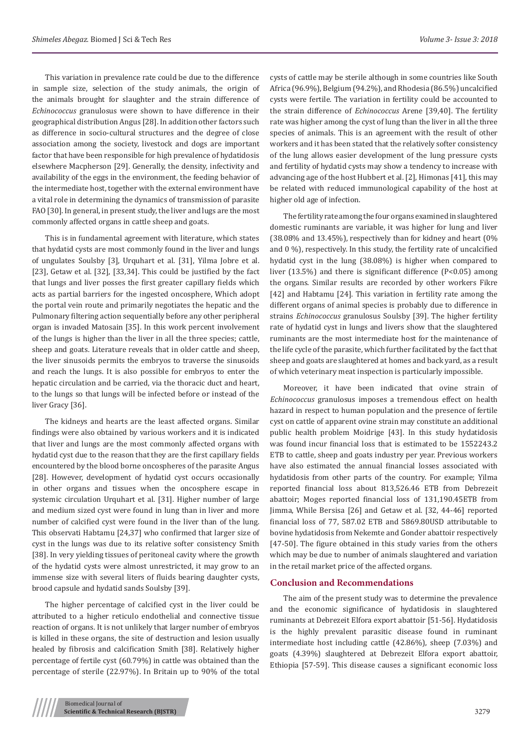This variation in prevalence rate could be due to the difference in sample size, selection of the study animals, the origin of the animals brought for slaughter and the strain difference of *Echinococcus* granulosus were shown to have difference in their geographical distribution Angus [28]. In addition other factors such as difference in socio-cultural structures and the degree of close association among the society, livestock and dogs are important factor that have been responsible for high prevalence of hydatidosis elsewhere Macpherson [29]. Generally, the density, infectivity and availability of the eggs in the environment, the feeding behavior of the intermediate host, together with the external environment have a vital role in determining the dynamics of transmission of parasite FAO [30]. In general, in present study, the liver and lugs are the most commonly affected organs in cattle sheep and goats.

This is in fundamental agreement with literature, which states that hydatid cysts are most commonly found in the liver and lungs of ungulates Soulsby [3], Urquhart et al. [31], Yilma Jobre et al. [23], Getaw et al. [32], [33,34]. This could be justified by the fact that lungs and liver posses the first greater capillary fields which acts as partial barriers for the ingested oncosphere, Which adopt the portal vein route and primarily negotiates the hepatic and the Pulmonary filtering action sequentially before any other peripheral organ is invaded Matosain [35]. In this work percent involvement of the lungs is higher than the liver in all the three species; cattle, sheep and goats. Literature reveals that in older cattle and sheep, the liver sinusoids permits the embryos to traverse the sinusoids and reach the lungs. It is also possible for embryos to enter the hepatic circulation and be carried, via the thoracic duct and heart, to the lungs so that lungs will be infected before or instead of the liver Gracy [36].

The kidneys and hearts are the least affected organs. Similar findings were also obtained by various workers and it is indicated that liver and lungs are the most commonly affected organs with hydatid cyst due to the reason that they are the first capillary fields encountered by the blood borne oncospheres of the parasite Angus [28]. However, development of hydatid cyst occurs occasionally in other organs and tissues when the oncosphere escape in systemic circulation Urquhart et al. [31]. Higher number of large and medium sized cyst were found in lung than in liver and more number of calcified cyst were found in the liver than of the lung. This observati Habtamu [24,37] who confirmed that larger size of cyst in the lungs was due to its relative softer consistency Smith [38]. In very yielding tissues of peritoneal cavity where the growth of the hydatid cysts were almost unrestricted, it may grow to an immense size with several liters of fluids bearing daughter cysts, brood capsule and hydatid sands Soulsby [39].

The higher percentage of calcified cyst in the liver could be attributed to a higher reticulo endothelial and connective tissue reaction of organs. It is not unlikely that larger number of embryos is killed in these organs, the site of destruction and lesion usually healed by fibrosis and calcification Smith [38]. Relatively higher percentage of fertile cyst (60.79%) in cattle was obtained than the percentage of sterile (22.97%). In Britain up to 90% of the total

cysts of cattle may be sterile although in some countries like South Africa (96.9%), Belgium (94.2%), and Rhodesia (86.5%) uncalcified cysts were fertile. The variation in fertility could be accounted to the strain difference of *Echinococcus* Arene [39,40]. The fertility rate was higher among the cyst of lung than the liver in all the three species of animals. This is an agreement with the result of other workers and it has been stated that the relatively softer consistency of the lung allows easier development of the lung pressure cysts and fertility of hydatid cysts may show a tendency to increase with advancing age of the host Hubbert et al. [2], Himonas [41], this may be related with reduced immunological capability of the host at higher old age of infection.

The fertility rate among the four organs examined in slaughtered domestic ruminants are variable, it was higher for lung and liver (38.08% and 13.45%), respectively than for kidney and heart (0% and 0 %), respectively. In this study, the fertility rate of uncalcified hydatid cyst in the lung (38.08%) is higher when compared to liver (13.5%) and there is significant difference (P<0.05) among the organs. Similar results are recorded by other workers Fikre [42] and Habtamu [24]. This variation in fertility rate among the different organs of animal species is probably due to difference in strains *Echinococcus* granulosus Soulsby [39]. The higher fertility rate of hydatid cyst in lungs and livers show that the slaughtered ruminants are the most intermediate host for the maintenance of the life cycle of the parasite, which further facilitated by the fact that sheep and goats are slaughtered at homes and back yard, as a result of which veterinary meat inspection is particularly impossible.

Moreover, it have been indicated that ovine strain of *Echinococcus* granulosus imposes a tremendous effect on health hazard in respect to human population and the presence of fertile cyst on cattle of apparent ovine strain may constitute an additional public health problem Moidrige [43]. In this study hydatidosis was found incur financial loss that is estimated to be 1552243.2 ETB to cattle, sheep and goats industry per year. Previous workers have also estimated the annual financial losses associated with hydatidosis from other parts of the country. For example; Yilma reported financial loss about 813,526.46 ETB from Debrezeit abattoir; Moges reported financial loss of 131,190.45ETB from Jimma, While Bersisa [26] and Getaw et al. [32, 44-46] reported financial loss of 77, 587.02 ETB and 5869.80USD attributable to bovine hydatidosis from Nekemte and Gonder abattoir respectively [47-50]. The figure obtained in this study varies from the others which may be due to number of animals slaughtered and variation in the retail market price of the affected organs.

#### **Conclusion and Recommendations**

The aim of the present study was to determine the prevalence and the economic significance of hydatidosis in slaughtered ruminants at Debrezeit Elfora export abattoir [51-56]. Hydatidosis is the highly prevalent parasitic disease found in ruminant intermediate host including cattle (42.86%), sheep (7.03%) and goats (4.39%) slaughtered at Debrezeit Elfora export abattoir, Ethiopia [57-59]. This disease causes a significant economic loss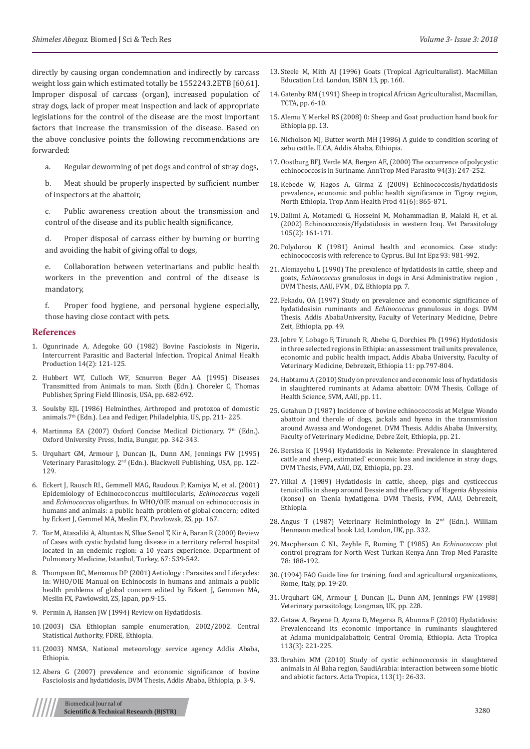directly by causing organ condemnation and indirectly by carcass weight loss gain which estimated totally be 1552243.2ETB [60,61]. Improper disposal of carcass (organ), increased population of stray dogs, lack of proper meat inspection and lack of appropriate legislations for the control of the disease are the most important factors that increase the transmission of the disease. Based on the above conclusive points the following recommendations are forwarded:

a. Regular deworming of pet dogs and control of stray dogs,

b. Meat should be properly inspected by sufficient number of inspectors at the abattoir,

c. Public awareness creation about the transmission and control of the disease and its public health significance,

d. Proper disposal of carcass either by burning or burring and avoiding the habit of giving offal to dogs,

e. Collaboration between veterinarians and public health workers in the prevention and control of the disease is mandatory,

f. Proper food hygiene, and personal hygiene especially, those having close contact with pets.

#### **References**

- 1. [Ogunrinade A, Adegoke GO \(1982\) Bovine Fasciolosis in Nigeria,](https://www.ncbi.nlm.nih.gov/pubmed/7101464)  [Intercurrent Parasitic and Bacterial Infection. Tropical Animal Health](https://www.ncbi.nlm.nih.gov/pubmed/7101464)  [Production 14\(2\): 121-125.](https://www.ncbi.nlm.nih.gov/pubmed/7101464)
- 2. Hubbert WT, Culloch WF, Scnurren Beger AA (1995) Diseases Transmitted from Animals to man. Sixth (Edn.). Choreler C, Thomas Publisher, Spring Field Illinosis, USA, pp. 682-692.
- 3. Soulsby EJL (1986) Helminthes, Arthropod and protozoa of domestic animals.7th (Edn.). Lea and Fediger, Philadelphia, US, pp. 211- 225.
- 4. Martinma EA (2007) Oxford Concise Medical Dictionary. 7th (Edn.). Oxford University Press, India, Bungar, pp. 342-343.
- 5. Urquhart GM, Armour J, Duncan JL, Dunn AM, Jennings FW (1995) Veterinary Parasitology. 2nd (Edn.). Blackwell Publishing, USA, pp. 122- 129.
- 6. Eckert J, Rausch RL, Gemmell MAG, Raudoux P, Kamiya M, et al. (2001) Epidemiology of Echinococonccus multilocularis, *Echinococcus* vogeli and *Echinococcus* oligarthus. In WHO/OIE manual on echinococcosis in humans and animals: a public health problem of global concern; edited by Eckert J, Gemmel MA, Meslin FX, Pawlowsk, ZS, pp. 167.
- 7. [Tor M, Atasaliki A, Altuntas N, Sllue Senol T, Kir A, Baran R \(2000\) Review](https://www.karger.com/Article/Abstract/67470)  [of Cases with cystic hydatid lung disease in a territory referral hospital](https://www.karger.com/Article/Abstract/67470)  [located in an endemic region: a 10 years experience. Department of](https://www.karger.com/Article/Abstract/67470)  [Pulmonary Medicine, Istanbul, Turkey, 67: 539-542.](https://www.karger.com/Article/Abstract/67470)
- 8. Thompson RC, Memanus DP (2001) Aetiology : Parasites and Lifecycles: In: WHO/OIE Manual on Echinocosis in humans and animals a public health problems of global concern edited by Eckert J, Gemmen MA, Meslin FX, Pawlowski, ZS, Japan, pp.9-15.
- 9. Permin A, Hansen JW (1994) Review on Hydatidosis.
- 10.(2003) CSA Ethiopian sample enumeration, 2002/2002. Central Statistical Authority, FDRE, Ethiopia.
- 11.(2003) NMSA, National meteorology service agency Addis Ababa, Ethiopia.
- 12. Abera G (2007) prevalence and economic significance of bovine Fasciolosis and hydatidosis, DVM Thesis, Addis Ababa, Ethiopia, p. 3-9.

Biomedical Journal of **Scientific & Technical Research (BJSTR)** 3280

- 13. Steele M, Mith AJ (1996) Goats (Tropical Agriculturalist). MacMillan Education Ltd. London, ISBN 13, pp. 160.
- 14. Gatenby RM (1991) Sheep in tropical African Agriculturalist, Macmillan, TCTA, pp. 6-10.
- 15. Alemu Y, Merkel RS (2008) 0: Sheep and Goat production hand book for Ethiopia pp. 13.
- 16. [Nicholson MJ, Butter worth MH \(1986\) A guide to condition scoring of](https://cgspace.cgiar.org/handle/10568/49674) [zebu cattle. ILCA, Addis Ababa, Ethiopia.](https://cgspace.cgiar.org/handle/10568/49674)
- 17. [Oostburg BFJ, Verde MA, Bergen AE, \(2000\) The occurrence of polycystic](https://www.ncbi.nlm.nih.gov/pubmed/10884869) [echinococcosis in Suriname. AnnTrop Med Parasito 94\(3\): 247-252.](https://www.ncbi.nlm.nih.gov/pubmed/10884869)
- 18. [Kebede W, Hagos A, Girma Z \(2009\) Echinococcosis/hydatidosis](https://www.ncbi.nlm.nih.gov/pubmed/19002598) [prevalence, economic and public health significance in Tigray region,](https://www.ncbi.nlm.nih.gov/pubmed/19002598) [North Ethiopia. Trop Anm](https://www.ncbi.nlm.nih.gov/pubmed/19002598) Health Prod 41(6): 865-871.
- 19. [Dalimi A, Motamedi G, Hosseini M, Mohammadian B, Malaki H, et al.](https://www.ncbi.nlm.nih.gov/pubmed/11900930) [\(2002\) Echinococcosis/Hydatidosis in western Iraq. Vet](https://www.ncbi.nlm.nih.gov/pubmed/11900930) Parasitology [105\(2\): 161-171.](https://www.ncbi.nlm.nih.gov/pubmed/11900930)
- 20. [Polydorou K \(1981\) Animal health and economics. Case study:](http://www.oalib.com/references/4619411) [echinococcosis with reference to Cyprus. Bul Int Epz 93: 981-992.](http://www.oalib.com/references/4619411)
- 21. Alemayehu L (1990) The prevalence of hydatidosis in cattle, sheep and goats, *Echinococcus* granulosus in dogs in Arsi Administrative region , DVM Thesis, AAU, FVM , DZ, Ethiopia pp. 7.
- 22. Fekadu, OA (1997) Study on prevalence and economic significance of hydatidosisin ruminants and *Echinococcus* granulosus in dogs. DVM Thesis. Addis AbabaUniversity, Faculty of Veterinary Medicine, Debre Zeit, Ethiopia, pp. 49.
- 23. Jobre Y, Lobago F, Tiruneh R, Abebe G, Dorchies Ph (1996) Hydotidosis in three selected regions in Ethipia: an assessment trail units prevalence, economic and public health impact, Addis Ababa University, Faculty of Veterinary Medicine, Debrezeit, Ethiopia 11: pp.797-804.
- 24. Habtamu A (2010) Study on prevalence and economic loss of hydatidosis in slaughtered ruminants at Adama abattoir. DVM Thesis, Collage of Health Science, SVM, AAU, pp. 11.
- 25. Getahun D (1987) Incidence of bovine echinococcosis at Melgue Wondo abattoir and therole of dogs, jackals and hyena in the transmission around Awassa and Wondogenet. DVM Thesis. Addis Ababa University, Faculty of Veterinary Medicine, Debre Zeit, Ethiopia, pp. 21.
- 26. Bersisa K (1994) Hydatidosis in Nekemte: Prevalence in slaughtered cattle and sheep, estimated` economic loss and incidence in stray dogs, DVM Thesis, FVM, AAU, DZ, Ethiopia, pp. 23.
- 27. Yilkal A (1989) Hydatidosis in cattle, sheep, pigs and cysticeccus tenuicollis in sheep around Dessie and the efficacy of Hagenia Abyssinia (konso) on Taenia hydatigena. DVM Thesis, FVM, AAU, Debrezeit, Ethiopia.
- 28. Angus T (1987) Veterinary Helminthology In 2nd (Edn.). William Henmann medical book Ltd, London, UK, pp. 332.
- 29. Macpherson C NL, Zeyhle E, Roming T (1985) An *Echinococcus* plot control program for North West Turkan Kenya Ann Trop Med Parasite 78: 188-192.
- 30.(1994) FAO Guide line for training, food and agricultural organizations, Rome, Italy, pp. 19-20.
- 31. Urquhart GM, Armour J, Duncan JL, Dunn AM, Jennings FW (1988) Veterinary parasitology, Longman, UK, pp. 228.
- 32. [Getaw A, Beyene D, Ayana D, Megersa B, Abunna F \(2010\) Hydatidosis:](https://www.ncbi.nlm.nih.gov/pubmed/19883622) [Prevalenceand its economic importance in ruminants slaughtered](https://www.ncbi.nlm.nih.gov/pubmed/19883622) [at Adama municipalabattoir, Central Oromia, Ethiopia. Acta Tropica](https://www.ncbi.nlm.nih.gov/pubmed/19883622) [113\(3\): 221-225.](https://www.ncbi.nlm.nih.gov/pubmed/19883622)
- 33. [Ibrahim MM \(2010\) Study of cystic echinococcosis in slaughtered](https://www.ncbi.nlm.nih.gov/pubmed/19744464) [animals in Al Baha region, SaudiArabia: interaction between some biotic](https://www.ncbi.nlm.nih.gov/pubmed/19744464) [and abiotic factors. Acta Tropica, 113\(1\): 26-33.](https://www.ncbi.nlm.nih.gov/pubmed/19744464)